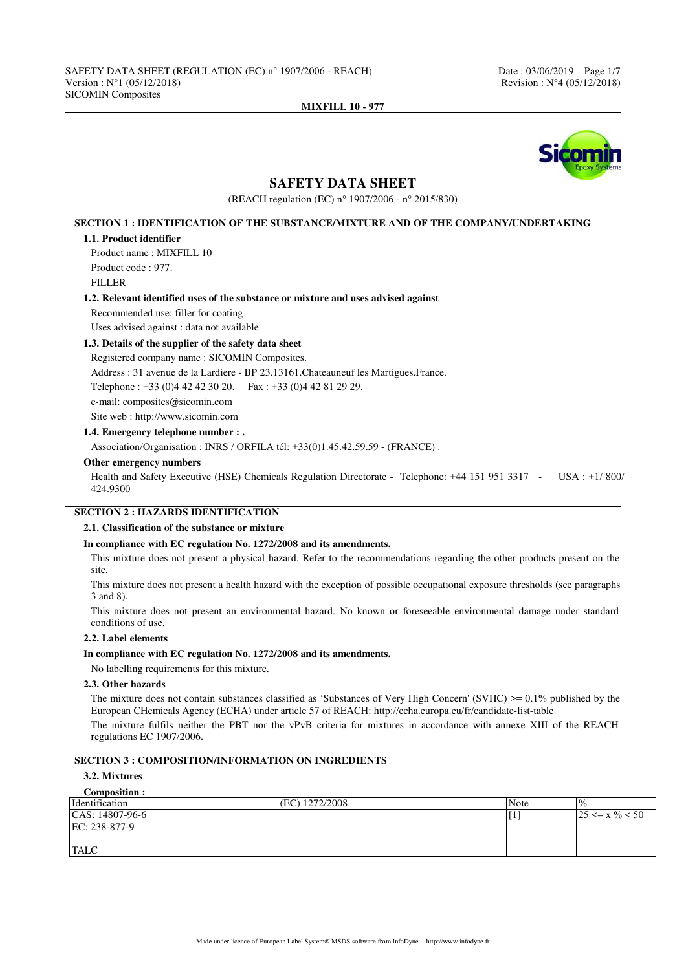

## **SAFETY DATA SHEET**

(REACH regulation (EC) n° 1907/2006 - n° 2015/830)

## **SECTION 1 : IDENTIFICATION OF THE SUBSTANCE/MIXTURE AND OF THE COMPANY/UNDERTAKING**

## **1.1. Product identifier**

Product name : MIXFILL 10 Product code : 977. FILLER

## **1.2. Relevant identified uses of the substance or mixture and uses advised against**

Recommended use: filler for coating

Uses advised against : data not available

## **1.3. Details of the supplier of the safety data sheet**

Registered company name : SICOMIN Composites. Address : 31 avenue de la Lardiere - BP 23.13161.Chateauneuf les Martigues.France. Telephone : +33 (0)4 42 42 30 20. Fax : +33 (0)4 42 81 29 29. e-mail: composites@sicomin.com Site web : http://www.sicomin.com

**1.4. Emergency telephone number : .**

Association/Organisation : INRS / ORFILA tél: +33(0)1.45.42.59.59 - (FRANCE) .

## **Other emergency numbers**

Health and Safety Executive (HSE) Chemicals Regulation Directorate - Telephone: +44 151 951 3317 - USA : +1/ 800/ 424.9300

## **SECTION 2 : HAZARDS IDENTIFICATION**

## **2.1. Classification of the substance or mixture**

## **In compliance with EC regulation No. 1272/2008 and its amendments.**

This mixture does not present a physical hazard. Refer to the recommendations regarding the other products present on the site.

This mixture does not present a health hazard with the exception of possible occupational exposure thresholds (see paragraphs 3 and 8).

This mixture does not present an environmental hazard. No known or foreseeable environmental damage under standard conditions of use.

#### **2.2. Label elements**

#### **In compliance with EC regulation No. 1272/2008 and its amendments.**

No labelling requirements for this mixture.

#### **2.3. Other hazards**

The mixture does not contain substances classified as 'Substances of Very High Concern' (SVHC)  $> = 0.1\%$  published by the European CHemicals Agency (ECHA) under article 57 of REACH: http://echa.europa.eu/fr/candidate-list-table

The mixture fulfils neither the PBT nor the vPvB criteria for mixtures in accordance with annexe XIII of the REACH regulations EC 1907/2006.

## **SECTION 3 : COMPOSITION/INFORMATION ON INGREDIENTS**

## **3.2. Mixtures**

| Composition :                       |                |      |                              |
|-------------------------------------|----------------|------|------------------------------|
| Identification                      | (EC) 1272/2008 | Note | $\frac{0}{0}$                |
| $ CAS: 14807-96-6$<br>EC: 238-877-9 |                |      | $ 25 \le x \frac{9}{6} < 50$ |
| <b>TALC</b>                         |                |      |                              |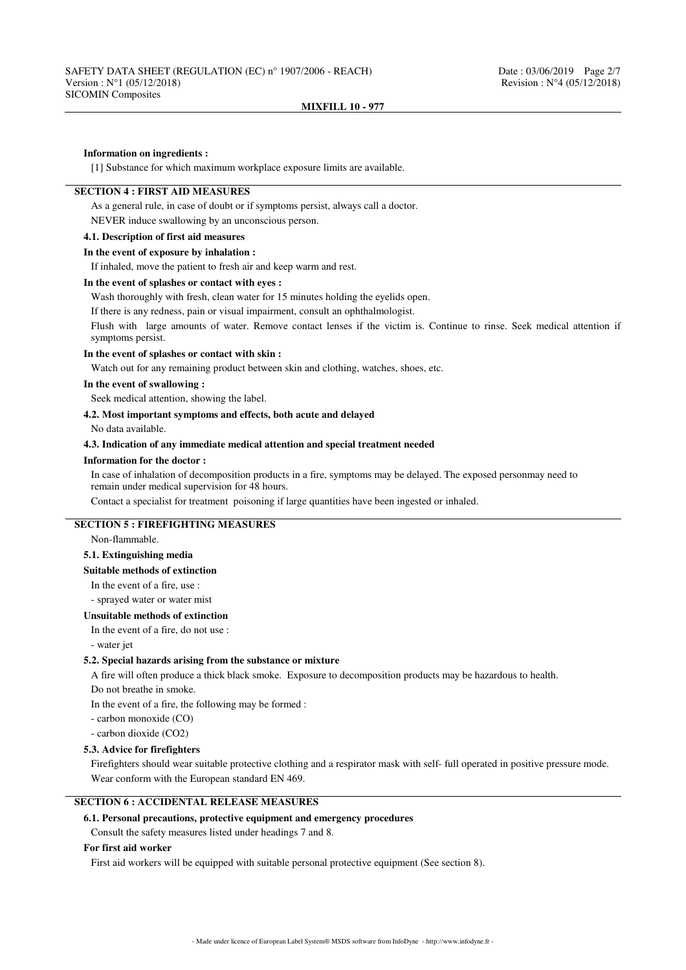## **Information on ingredients :**

[1] Substance for which maximum workplace exposure limits are available.

## **SECTION 4 : FIRST AID MEASURES**

As a general rule, in case of doubt or if symptoms persist, always call a doctor.

NEVER induce swallowing by an unconscious person.

## **4.1. Description of first aid measures**

## **In the event of exposure by inhalation :**

If inhaled, move the patient to fresh air and keep warm and rest.

## **In the event of splashes or contact with eyes :**

Wash thoroughly with fresh, clean water for 15 minutes holding the eyelids open.

If there is any redness, pain or visual impairment, consult an ophthalmologist.

Flush with large amounts of water. Remove contact lenses if the victim is. Continue to rinse. Seek medical attention if symptoms persist.

#### **In the event of splashes or contact with skin :**

Watch out for any remaining product between skin and clothing, watches, shoes, etc.

## **In the event of swallowing :**

Seek medical attention, showing the label.

## **4.2. Most important symptoms and effects, both acute and delayed**

No data available.

#### **4.3. Indication of any immediate medical attention and special treatment needed**

## **Information for the doctor :**

In case of inhalation of decomposition products in a fire, symptoms may be delayed. The exposed personmay need to remain under medical supervision for 48 hours.

Contact a specialist for treatment poisoning if large quantities have been ingested or inhaled.

## **SECTION 5 : FIREFIGHTING MEASURES**

Non-flammable.

## **5.1. Extinguishing media**

## **Suitable methods of extinction**

In the event of a fire, use :

- sprayed water or water mist

## **Unsuitable methods of extinction**

In the event of a fire, do not use :

- water jet

## **5.2. Special hazards arising from the substance or mixture**

A fire will often produce a thick black smoke. Exposure to decomposition products may be hazardous to health. Do not breathe in smoke.

In the event of a fire, the following may be formed :

- carbon monoxide (CO)

- carbon dioxide (CO2)

#### **5.3. Advice for firefighters**

Firefighters should wear suitable protective clothing and a respirator mask with self- full operated in positive pressure mode. Wear conform with the European standard EN 469.

## **SECTION 6 : ACCIDENTAL RELEASE MEASURES**

## **6.1. Personal precautions, protective equipment and emergency procedures**

Consult the safety measures listed under headings 7 and 8.

#### **For first aid worker**

First aid workers will be equipped with suitable personal protective equipment (See section 8).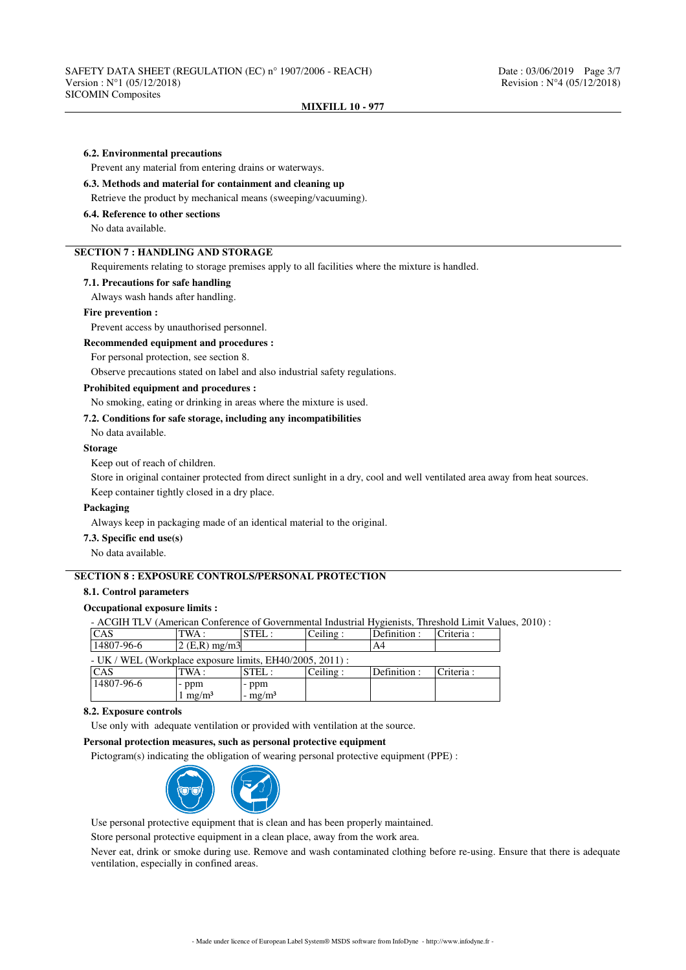#### **6.2. Environmental precautions**

Prevent any material from entering drains or waterways.

### **6.3. Methods and material for containment and cleaning up**

Retrieve the product by mechanical means (sweeping/vacuuming).

## **6.4. Reference to other sections**

No data available.

## **SECTION 7 : HANDLING AND STORAGE**

Requirements relating to storage premises apply to all facilities where the mixture is handled.

## **7.1. Precautions for safe handling**

Always wash hands after handling.

#### **Fire prevention :**

Prevent access by unauthorised personnel.

## **Recommended equipment and procedures :**

#### For personal protection, see section 8.

Observe precautions stated on label and also industrial safety regulations.

## **Prohibited equipment and procedures :**

No smoking, eating or drinking in areas where the mixture is used.

## **7.2. Conditions for safe storage, including any incompatibilities**

No data available.

## **Storage**

Keep out of reach of children.

Store in original container protected from direct sunlight in a dry, cool and well ventilated area away from heat sources. Keep container tightly closed in a dry place.

#### **Packaging**

Always keep in packaging made of an identical material to the original.

## **7.3. Specific end use(s)**

No data available.

## **SECTION 8 : EXPOSURE CONTROLS/PERSONAL PROTECTION**

## **8.1. Control parameters**

#### **Occupational exposure limits :**

- ACGIH TLV (American Conference of Governmental Industrial Hygienists, Threshold Limit Values, 2010) :

| <b>CAS</b>                                                     | TWA :           | STEL: | Ceiling: | Definition : | Criteria:  |  |  |
|----------------------------------------------------------------|-----------------|-------|----------|--------------|------------|--|--|
| 14807-96-6                                                     | $2$ (E,R) mg/m3 |       |          | A4           |            |  |  |
| - UK / WEL (Workplace exposure limits, $EH40/2005$ , $2011$ ): |                 |       |          |              |            |  |  |
| <b>CAS</b>                                                     | TWA :           | STEL: | Ceiling: | Definition : | Criteria : |  |  |
| 14807-96-6                                                     | - ppm           | - ppm |          |              |            |  |  |
|                                                                |                 |       |          |              |            |  |  |

## **8.2. Exposure controls**

Use only with adequate ventilation or provided with ventilation at the source.

## **Personal protection measures, such as personal protective equipment**

Pictogram(s) indicating the obligation of wearing personal protective equipment (PPE) :



Use personal protective equipment that is clean and has been properly maintained.

Store personal protective equipment in a clean place, away from the work area.

Never eat, drink or smoke during use. Remove and wash contaminated clothing before re-using. Ensure that there is adequate ventilation, especially in confined areas.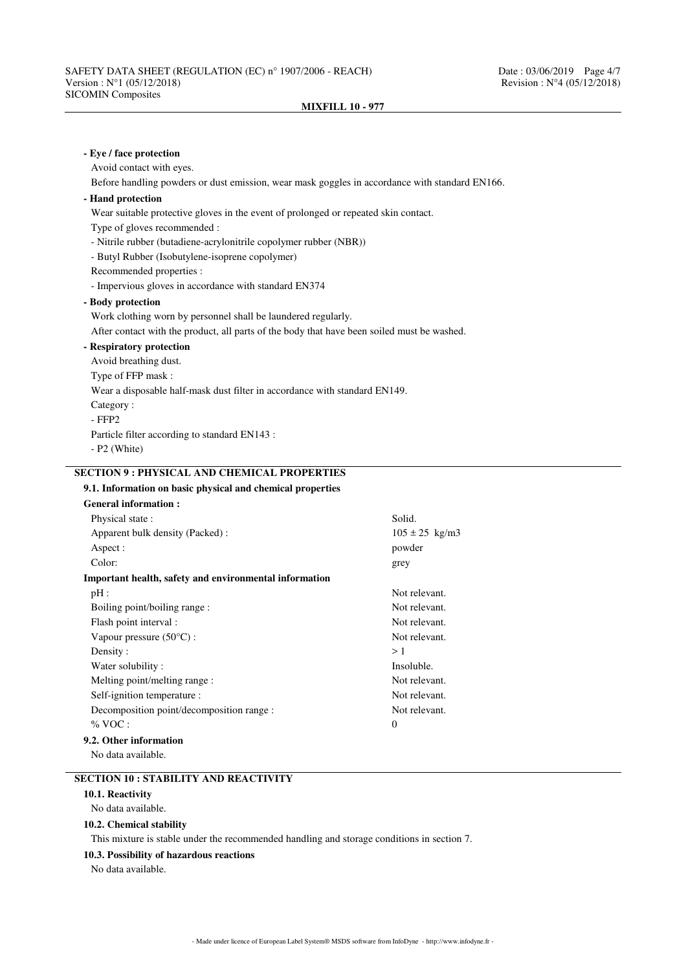| - Eye / face protection                                                                        |                    |
|------------------------------------------------------------------------------------------------|--------------------|
| Avoid contact with eyes.                                                                       |                    |
| Before handling powders or dust emission, wear mask goggles in accordance with standard EN166. |                    |
| - Hand protection                                                                              |                    |
| Wear suitable protective gloves in the event of prolonged or repeated skin contact.            |                    |
| Type of gloves recommended :                                                                   |                    |
| - Nitrile rubber (butadiene-acrylonitrile copolymer rubber (NBR))                              |                    |
| - Butyl Rubber (Isobutylene-isoprene copolymer)                                                |                    |
| Recommended properties :                                                                       |                    |
| - Impervious gloves in accordance with standard EN374                                          |                    |
| - Body protection                                                                              |                    |
| Work clothing worn by personnel shall be laundered regularly.                                  |                    |
| After contact with the product, all parts of the body that have been soiled must be washed.    |                    |
| - Respiratory protection                                                                       |                    |
| Avoid breathing dust.                                                                          |                    |
| Type of FFP mask:                                                                              |                    |
| Wear a disposable half-mask dust filter in accordance with standard EN149.                     |                    |
| Category:                                                                                      |                    |
| $-$ FFP2                                                                                       |                    |
| Particle filter according to standard EN143 :                                                  |                    |
| - P2 (White)                                                                                   |                    |
|                                                                                                |                    |
| <b>SECTION 9 : PHYSICAL AND CHEMICAL PROPERTIES</b>                                            |                    |
| 9.1. Information on basic physical and chemical properties                                     |                    |
| <b>General information:</b>                                                                    |                    |
| Physical state:                                                                                | Solid.             |
| Apparent bulk density (Packed) :                                                               | $105 \pm 25$ kg/m3 |
| Aspect:<br>Color:                                                                              | powder             |
|                                                                                                | grey               |
| Important health, safety and environmental information                                         | Not relevant.      |
| pH:<br>Boiling point/boiling range:                                                            | Not relevant.      |
| Flash point interval :                                                                         | Not relevant.      |
| Vapour pressure (50°C):                                                                        | Not relevant.      |
| Density:                                                                                       | >1                 |
| Water solubility:                                                                              | Insoluble.         |
| Melting point/melting range:                                                                   | Not relevant.      |
| Self-ignition temperature :                                                                    | Not relevant.      |
| Decomposition point/decomposition range :                                                      | Not relevant.      |
| $\%$ VOC :                                                                                     | $\theta$           |
| 9.2. Other information                                                                         |                    |
| No data available.                                                                             |                    |
|                                                                                                |                    |
| <b>SECTION 10: STABILITY AND REACTIVITY</b>                                                    |                    |
|                                                                                                |                    |

## **10.1. Reactivity**

No data available.

## **10.2. Chemical stability**

This mixture is stable under the recommended handling and storage conditions in section 7.

## **10.3. Possibility of hazardous reactions**

No data available.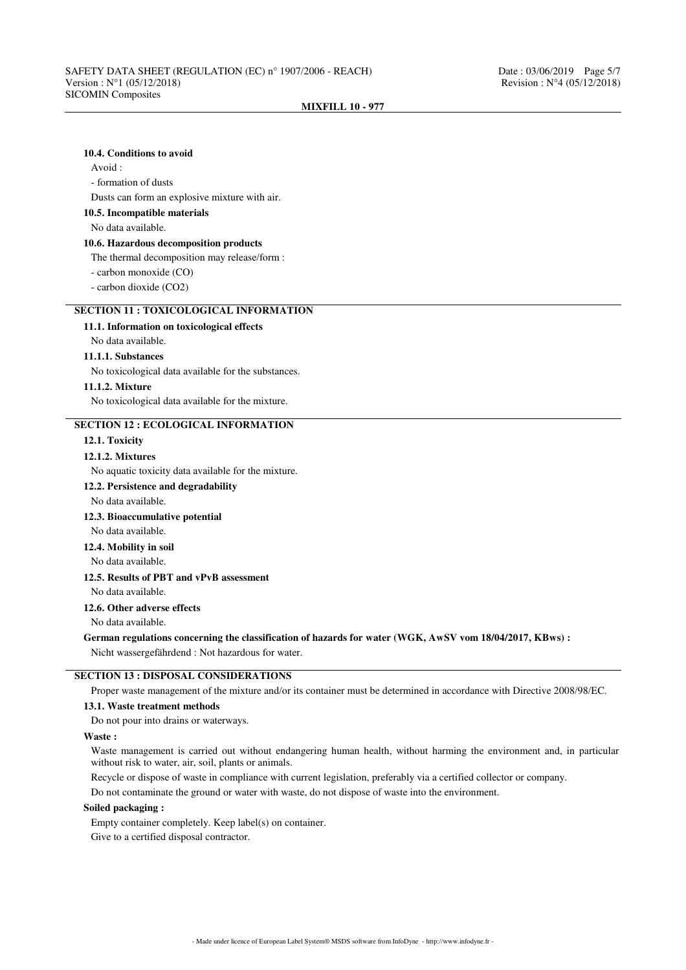#### **10.4. Conditions to avoid**

Avoid :

- formation of dusts

Dusts can form an explosive mixture with air.

#### **10.5. Incompatible materials**

No data available.

## **10.6. Hazardous decomposition products**

The thermal decomposition may release/form :

- carbon monoxide (CO)

- carbon dioxide (CO2)

## **SECTION 11 : TOXICOLOGICAL INFORMATION**

## **11.1. Information on toxicological effects**

No data available.

## **11.1.1. Substances**

No toxicological data available for the substances.

## **11.1.2. Mixture**

No toxicological data available for the mixture.

## **SECTION 12 : ECOLOGICAL INFORMATION**

## **12.1. Toxicity**

## **12.1.2. Mixtures**

No aquatic toxicity data available for the mixture.

#### **12.2. Persistence and degradability**

No data available.

## **12.3. Bioaccumulative potential**

No data available.

## **12.4. Mobility in soil**

No data available.

## **12.5. Results of PBT and vPvB assessment**

No data available.

#### **12.6. Other adverse effects**

No data available.

#### **German regulations concerning the classification of hazards for water (WGK, AwSV vom 18/04/2017, KBws) :**

Nicht wassergefährdend : Not hazardous for water.

## **SECTION 13 : DISPOSAL CONSIDERATIONS**

Proper waste management of the mixture and/or its container must be determined in accordance with Directive 2008/98/EC.

#### **13.1. Waste treatment methods**

Do not pour into drains or waterways.

## **Waste :**

Waste management is carried out without endangering human health, without harming the environment and, in particular without risk to water, air, soil, plants or animals.

Recycle or dispose of waste in compliance with current legislation, preferably via a certified collector or company.

Do not contaminate the ground or water with waste, do not dispose of waste into the environment.

#### **Soiled packaging :**

Empty container completely. Keep label(s) on container.

Give to a certified disposal contractor.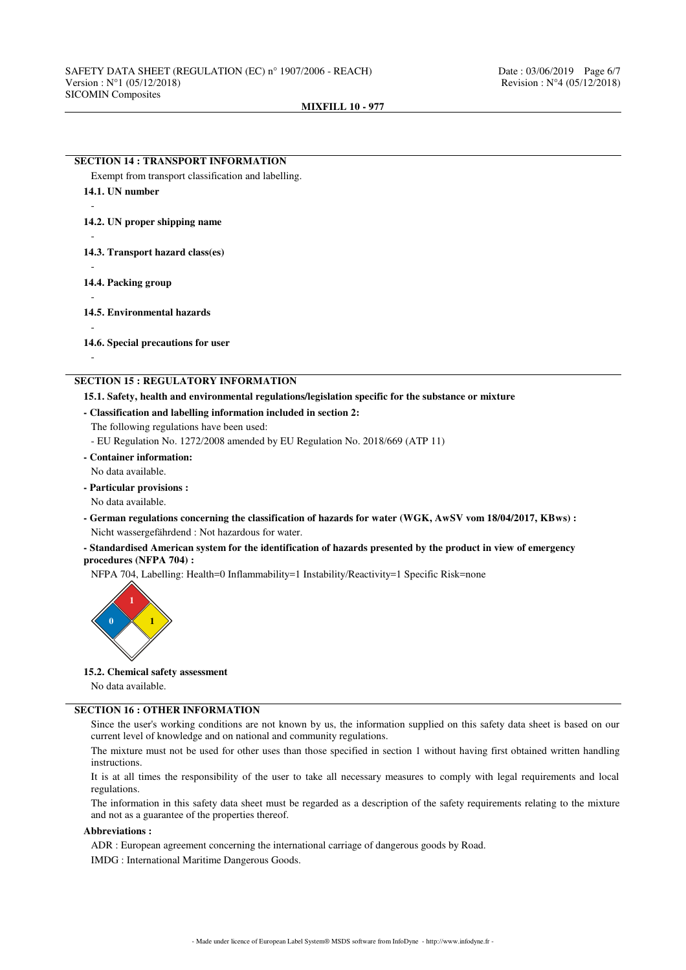## **SECTION 14 : TRANSPORT INFORMATION**

Exempt from transport classification and labelling. **14.1. UN number** - **14.2. UN proper shipping name** - **14.3. Transport hazard class(es)** - **14.4. Packing group** - **14.5. Environmental hazards** - **14.6. Special precautions for user** -

## **SECTION 15 : REGULATORY INFORMATION**

## **15.1. Safety, health and environmental regulations/legislation specific for the substance or mixture**

## **- Classification and labelling information included in section 2:**

The following regulations have been used:

- EU Regulation No. 1272/2008 amended by EU Regulation No. 2018/669 (ATP 11)
- **Container information:**

No data available.

- **Particular provisions :**
- No data available.

## **- German regulations concerning the classification of hazards for water (WGK, AwSV vom 18/04/2017, KBws) :** Nicht wassergefährdend : Not hazardous for water.

## **- Standardised American system for the identification of hazards presented by the product in view of emergency procedures (NFPA 704) :**

NFPA 704, Labelling: Health=0 Inflammability=1 Instability/Reactivity=1 Specific Risk=none



## **15.2. Chemical safety assessment** No data available.

# **SECTION 16 : OTHER INFORMATION**

Since the user's working conditions are not known by us, the information supplied on this safety data sheet is based on our current level of knowledge and on national and community regulations.

The mixture must not be used for other uses than those specified in section 1 without having first obtained written handling instructions.

It is at all times the responsibility of the user to take all necessary measures to comply with legal requirements and local regulations.

The information in this safety data sheet must be regarded as a description of the safety requirements relating to the mixture and not as a guarantee of the properties thereof.

#### **Abbreviations :**

ADR : European agreement concerning the international carriage of dangerous goods by Road.

IMDG : International Maritime Dangerous Goods.